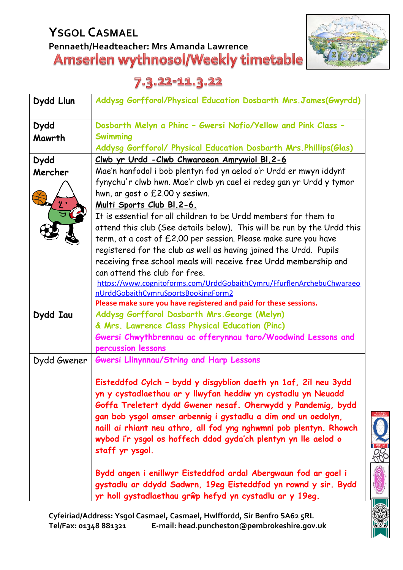# **YSGOL CASMAEL Pennaeth/Headteacher: Mrs Amanda Lawrence**



## 7.3.22-11.3.22

| Dydd Llun   | Addysg Gorfforol/Physical Education Dosbarth Mrs. James(Gwyrdd)                   |
|-------------|-----------------------------------------------------------------------------------|
| <b>Dydd</b> | Dosbarth Melyn a Phinc - Gwersi Nofio/Yellow and Pink Class -                     |
| Mawrth      | <b>Swimming</b>                                                                   |
|             | Addysg Gorfforol/ Physical Education Dosbarth Mrs. Phillips(Glas)                 |
| <b>Dydd</b> | Clwb yr Urdd - Clwb Chwaraeon Amrywiol Bl. 2-6                                    |
| Mercher     | Mae'n hanfodol i bob plentyn fod yn aelod o'r Urdd er mwyn iddynt                 |
|             | fynychu'r clwb hwn. Mae'r clwb yn cael ei redeg gan yr Urdd y tymor               |
|             | hwn, ar gost o £2.00 y sesiwn.                                                    |
|             | <u>Multi Sports Club Bl.2-6.</u>                                                  |
|             | It is essential for all children to be Urdd members for them to                   |
|             | attend this club (See details below). This will be run by the Urdd this           |
|             | term, at a cost of £2.00 per session. Please make sure you have                   |
|             | registered for the club as well as having joined the Urdd. Pupils                 |
|             | receiving free school meals will receive free Urdd membership and                 |
|             | can attend the club for free.                                                     |
|             | https://www.cognitoforms.com/UrddGobaithCymru/FfurflenArchebuChwaraeo             |
|             | nUrddGobaithCymruSportsBookingForm2                                               |
|             | Please make sure you have registered and paid for these sessions.                 |
| Dydd Iau    | Addysg Gorfforol Dosbarth Mrs. George (Melyn)                                     |
|             | & Mrs. Lawrence Class Physical Education (Pinc)                                   |
|             | Gwersi Chwythbrennau ac offerynnau taro/Woodwind Lessons and                      |
|             | percussion lessons                                                                |
| Dydd Gwener | <b>Gwersi Llinynnau/String and Harp Lessons</b>                                   |
|             | Eisteddfod Cylch - bydd y disgyblion daeth yn 1af, 2il neu 3ydd                   |
|             | yn y cystadlaethau ar y llwyfan heddiw yn cystadlu yn Neuadd                      |
|             | Goffa Treletert dydd Gwener nesaf. Oherwydd y Pandemig, bydd                      |
|             | gan bob ysgol amser arbennig i gystadlu a dim ond un oedolyn,                     |
|             | naill ai rhiant neu athro, all fod yng nghwmni pob plentyn. Rhowch                |
|             | wybod i'r ysgol os hoffech ddod gyda'ch plentyn yn lle aelod o<br>staff yr ysgol. |
|             | Bydd angen i enillwyr Eisteddfod ardal Abergwaun fod ar gael i                    |
|             | gystadlu ar ddydd Sadwrn, 19eg Eisteddfod yn rownd y sir. Bydd                    |
|             | yr holl gystadlaethau grŵp hefyd yn cystadlu ar y 19eg.                           |

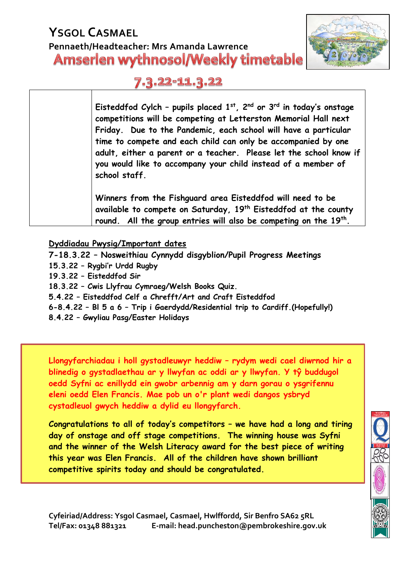### **YSGOL CASMAEL Pennaeth/Headteacher: Mrs Amanda Lawrence Amserlen wythnosol/Weekly timetable**



#### 7.3.22-11.3.22

**Eisteddfod Cylch – pupils placed 1 st , 2 nd or 3 rd in today's onstage competitions will be competing at Letterston Memorial Hall next Friday. Due to the Pandemic, each school will have a particular time to compete and each child can only be accompanied by one adult, either a parent or a teacher. Please let the school know if you would like to accompany your child instead of a member of school staff.**

**Winners from the Fishguard area Eisteddfod will need to be available to compete on Saturday, 19th Eisteddfod at the county round. All the group entries will also be competing on the 19th .**

#### **Dyddiadau Pwysig/Important dates**

**7-18.3.22 – Nosweithiau Cynnydd disgyblion/Pupil Progress Meetings 15.3.22 – Rygbi'r Urdd Rugby 19.3.22 – Eisteddfod Sir 18.3.22 – Cwis Llyfrau Cymraeg/Welsh Books Quiz. 5.4.22 – Eisteddfod Celf a Chrefft/Art and Craft Eisteddfod 6-8.4.22 – Bl 5 a 6 – Trip i Gaerdydd/Residential trip to Cardiff.(Hopefully!) 8.4.22 – Gwyliau Pasg/Easter Holidays**

**Llongyfarchiadau i holl gystadleuwyr heddiw – rydym wedi cael diwrnod hir a blinedig o gystadlaethau ar y llwyfan ac oddi ar y llwyfan. Y tŷ buddugol oedd Syfni ac enillydd ein gwobr arbennig am y darn gorau o ysgrifennu eleni oedd Elen Francis. Mae pob un o'r plant wedi dangos ysbryd cystadleuol gwych heddiw a dylid eu llongyfarch.**

**Congratulations to all of today's competitors – we have had a long and tiring day of onstage and off stage competitions. The winning house was Syfni and the winner of the Welsh Literacy award for the best piece of writing this year was Elen Francis. All of the children have shown brilliant competitive spirits today and should be congratulated.**